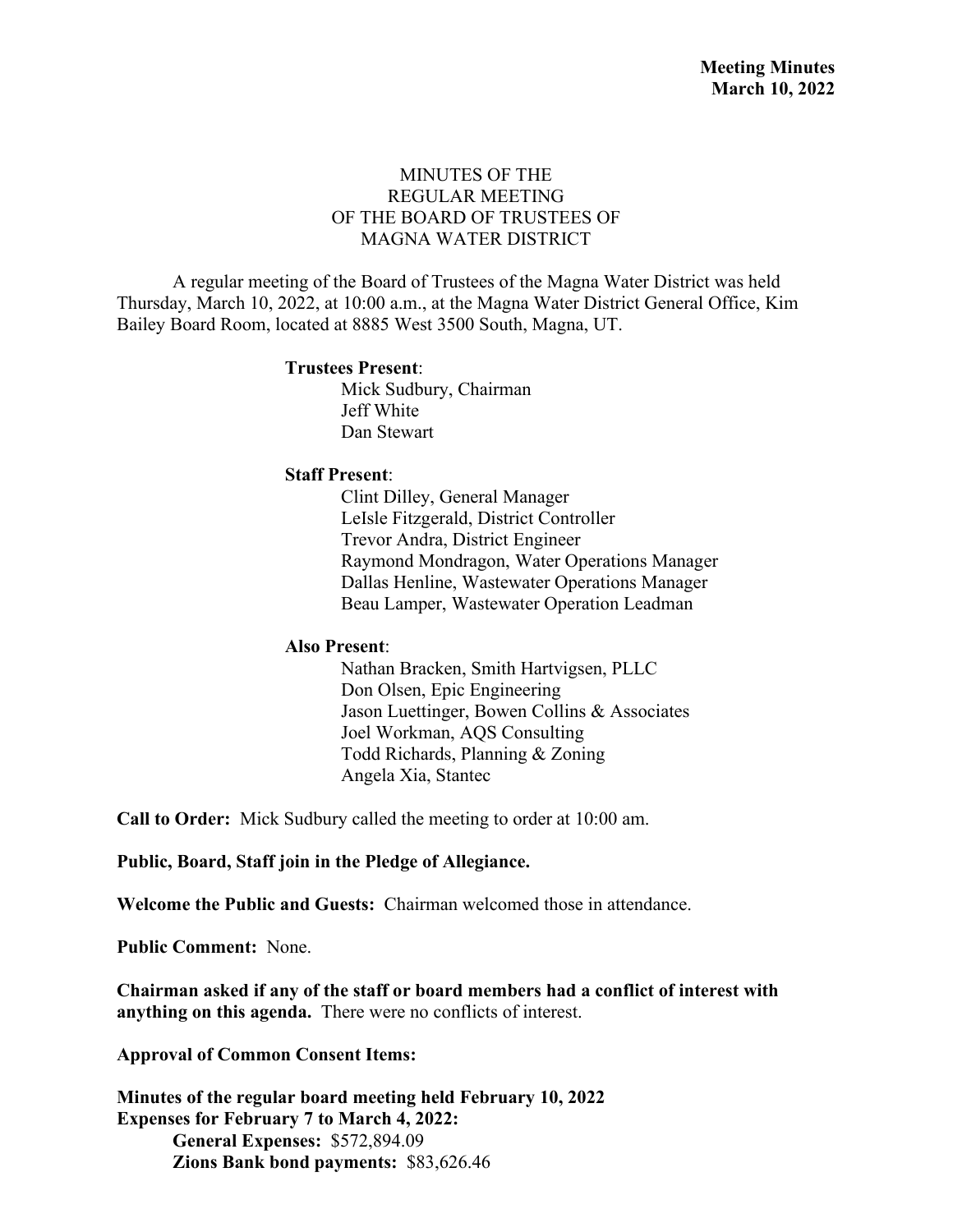## MINUTES OF THE REGULAR MEETING OF THE BOARD OF TRUSTEES OF MAGNA WATER DISTRICT

A regular meeting of the Board of Trustees of the Magna Water District was held Thursday, March 10, 2022, at 10:00 a.m., at the Magna Water District General Office, Kim Bailey Board Room, located at 8885 West 3500 South, Magna, UT.

#### **Trustees Present**:

Mick Sudbury, Chairman Jeff White Dan Stewart

### **Staff Present**:

Clint Dilley, General Manager LeIsle Fitzgerald, District Controller Trevor Andra, District Engineer Raymond Mondragon, Water Operations Manager Dallas Henline, Wastewater Operations Manager Beau Lamper, Wastewater Operation Leadman

#### **Also Present**:

Nathan Bracken, Smith Hartvigsen, PLLC Don Olsen, Epic Engineering Jason Luettinger, Bowen Collins & Associates Joel Workman, AQS Consulting Todd Richards, Planning & Zoning Angela Xia, Stantec

**Call to Order:** Mick Sudbury called the meeting to order at 10:00 am.

**Public, Board, Staff join in the Pledge of Allegiance.**

**Welcome the Public and Guests:** Chairman welcomed those in attendance.

**Public Comment:** None.

**Chairman asked if any of the staff or board members had a conflict of interest with anything on this agenda.** There were no conflicts of interest.

**Approval of Common Consent Items:**

**Minutes of the regular board meeting held February 10, 2022 Expenses for February 7 to March 4, 2022: General Expenses:** \$572,894.09 **Zions Bank bond payments:** \$83,626.46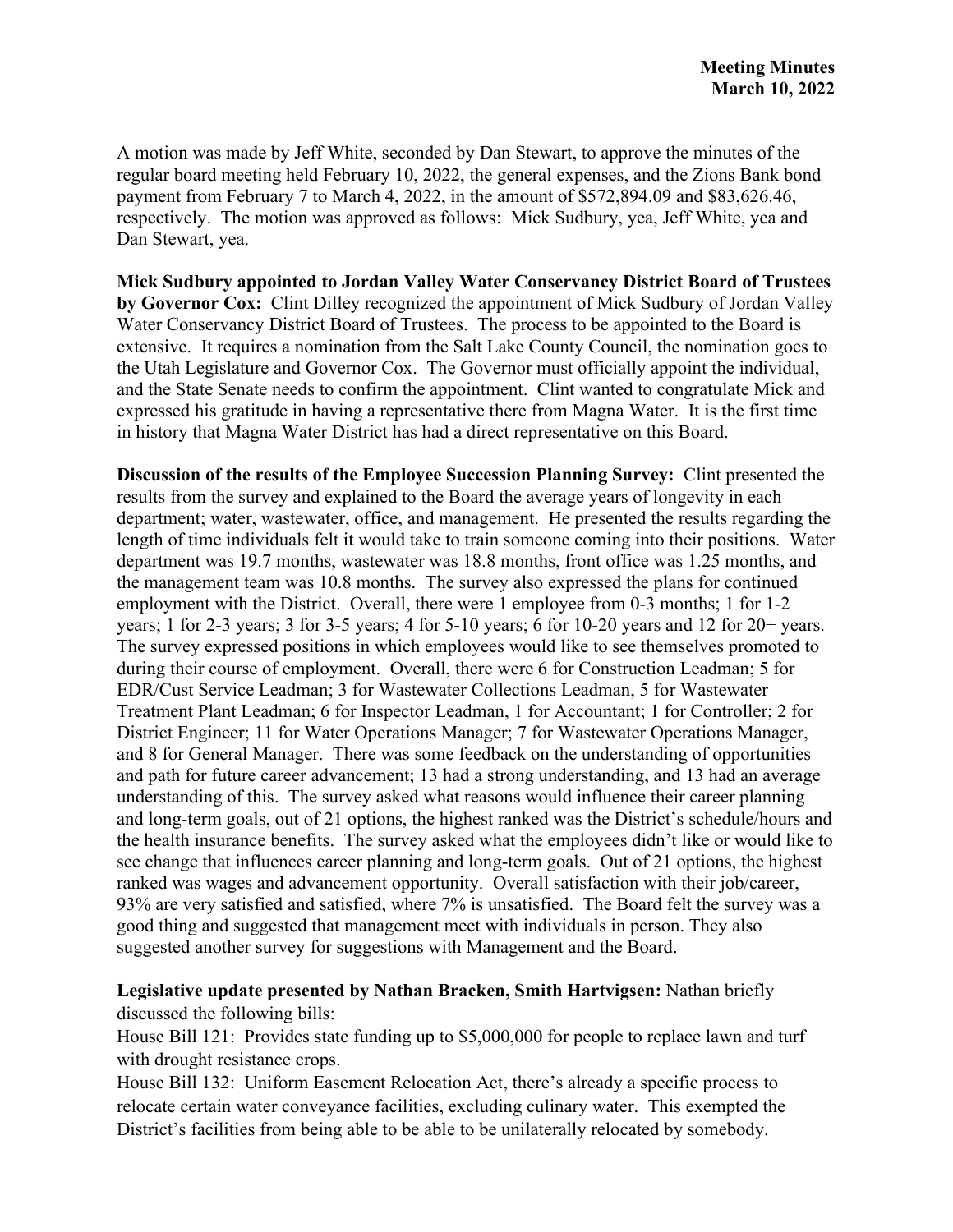A motion was made by Jeff White, seconded by Dan Stewart, to approve the minutes of the regular board meeting held February 10, 2022, the general expenses, and the Zions Bank bond payment from February 7 to March 4, 2022, in the amount of \$572,894.09 and \$83,626.46, respectively. The motion was approved as follows: Mick Sudbury, yea, Jeff White, yea and Dan Stewart, yea.

**Mick Sudbury appointed to Jordan Valley Water Conservancy District Board of Trustees by Governor Cox:** Clint Dilley recognized the appointment of Mick Sudbury of Jordan Valley Water Conservancy District Board of Trustees. The process to be appointed to the Board is extensive. It requires a nomination from the Salt Lake County Council, the nomination goes to the Utah Legislature and Governor Cox. The Governor must officially appoint the individual, and the State Senate needs to confirm the appointment. Clint wanted to congratulate Mick and expressed his gratitude in having a representative there from Magna Water. It is the first time in history that Magna Water District has had a direct representative on this Board.

**Discussion of the results of the Employee Succession Planning Survey:** Clint presented the results from the survey and explained to the Board the average years of longevity in each department; water, wastewater, office, and management. He presented the results regarding the length of time individuals felt it would take to train someone coming into their positions. Water department was 19.7 months, wastewater was 18.8 months, front office was 1.25 months, and the management team was 10.8 months. The survey also expressed the plans for continued employment with the District. Overall, there were 1 employee from 0-3 months; 1 for 1-2 years; 1 for 2-3 years; 3 for 3-5 years; 4 for 5-10 years; 6 for 10-20 years and 12 for 20+ years. The survey expressed positions in which employees would like to see themselves promoted to during their course of employment. Overall, there were 6 for Construction Leadman; 5 for EDR/Cust Service Leadman; 3 for Wastewater Collections Leadman, 5 for Wastewater Treatment Plant Leadman; 6 for Inspector Leadman, 1 for Accountant; 1 for Controller; 2 for District Engineer; 11 for Water Operations Manager; 7 for Wastewater Operations Manager, and 8 for General Manager. There was some feedback on the understanding of opportunities and path for future career advancement; 13 had a strong understanding, and 13 had an average understanding of this. The survey asked what reasons would influence their career planning and long-term goals, out of 21 options, the highest ranked was the District's schedule/hours and the health insurance benefits. The survey asked what the employees didn't like or would like to see change that influences career planning and long-term goals. Out of 21 options, the highest ranked was wages and advancement opportunity. Overall satisfaction with their job/career, 93% are very satisfied and satisfied, where 7% is unsatisfied. The Board felt the survey was a good thing and suggested that management meet with individuals in person. They also suggested another survey for suggestions with Management and the Board.

## **Legislative update presented by Nathan Bracken, Smith Hartvigsen:** Nathan briefly discussed the following bills:

House Bill 121: Provides state funding up to \$5,000,000 for people to replace lawn and turf with drought resistance crops.

House Bill 132: Uniform Easement Relocation Act, there's already a specific process to relocate certain water conveyance facilities, excluding culinary water. This exempted the District's facilities from being able to be able to be unilaterally relocated by somebody.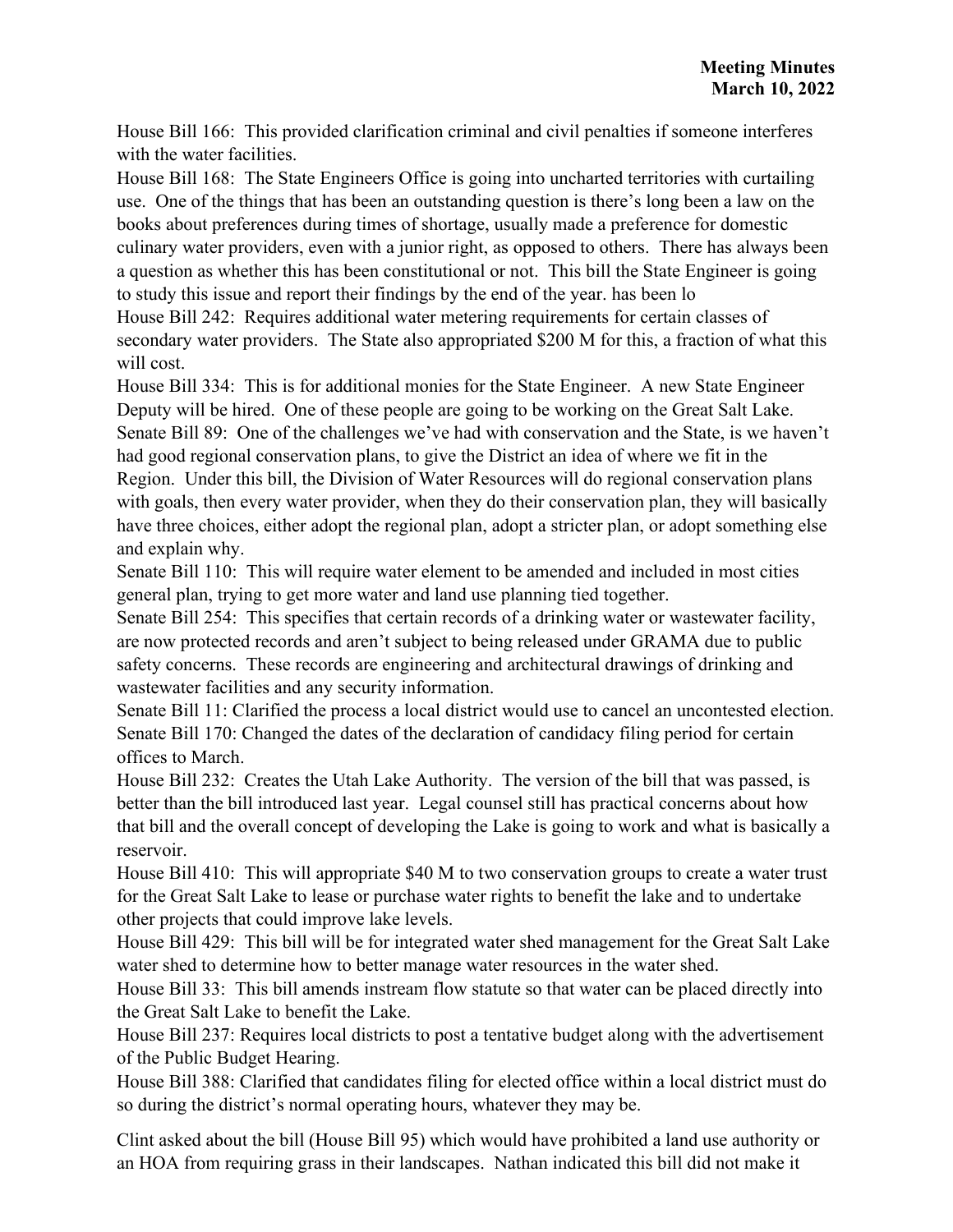House Bill 166: This provided clarification criminal and civil penalties if someone interferes with the water facilities.

House Bill 168: The State Engineers Office is going into uncharted territories with curtailing use. One of the things that has been an outstanding question is there's long been a law on the books about preferences during times of shortage, usually made a preference for domestic culinary water providers, even with a junior right, as opposed to others. There has always been a question as whether this has been constitutional or not. This bill the State Engineer is going to study this issue and report their findings by the end of the year. has been lo

House Bill 242: Requires additional water metering requirements for certain classes of secondary water providers. The State also appropriated \$200 M for this, a fraction of what this will cost.

House Bill 334: This is for additional monies for the State Engineer. A new State Engineer Deputy will be hired. One of these people are going to be working on the Great Salt Lake. Senate Bill 89: One of the challenges we've had with conservation and the State, is we haven't had good regional conservation plans, to give the District an idea of where we fit in the Region. Under this bill, the Division of Water Resources will do regional conservation plans with goals, then every water provider, when they do their conservation plan, they will basically have three choices, either adopt the regional plan, adopt a stricter plan, or adopt something else and explain why.

Senate Bill 110: This will require water element to be amended and included in most cities general plan, trying to get more water and land use planning tied together.

Senate Bill 254: This specifies that certain records of a drinking water or wastewater facility, are now protected records and aren't subject to being released under GRAMA due to public safety concerns. These records are engineering and architectural drawings of drinking and wastewater facilities and any security information.

Senate Bill 11: Clarified the process a local district would use to cancel an uncontested election. Senate Bill 170: Changed the dates of the declaration of candidacy filing period for certain offices to March.

House Bill 232: Creates the Utah Lake Authority. The version of the bill that was passed, is better than the bill introduced last year. Legal counsel still has practical concerns about how that bill and the overall concept of developing the Lake is going to work and what is basically a reservoir.

House Bill 410: This will appropriate \$40 M to two conservation groups to create a water trust for the Great Salt Lake to lease or purchase water rights to benefit the lake and to undertake other projects that could improve lake levels.

House Bill 429: This bill will be for integrated water shed management for the Great Salt Lake water shed to determine how to better manage water resources in the water shed.

House Bill 33: This bill amends instream flow statute so that water can be placed directly into the Great Salt Lake to benefit the Lake.

House Bill 237: Requires local districts to post a tentative budget along with the advertisement of the Public Budget Hearing.

House Bill 388: Clarified that candidates filing for elected office within a local district must do so during the district's normal operating hours, whatever they may be.

Clint asked about the bill (House Bill 95) which would have prohibited a land use authority or an HOA from requiring grass in their landscapes. Nathan indicated this bill did not make it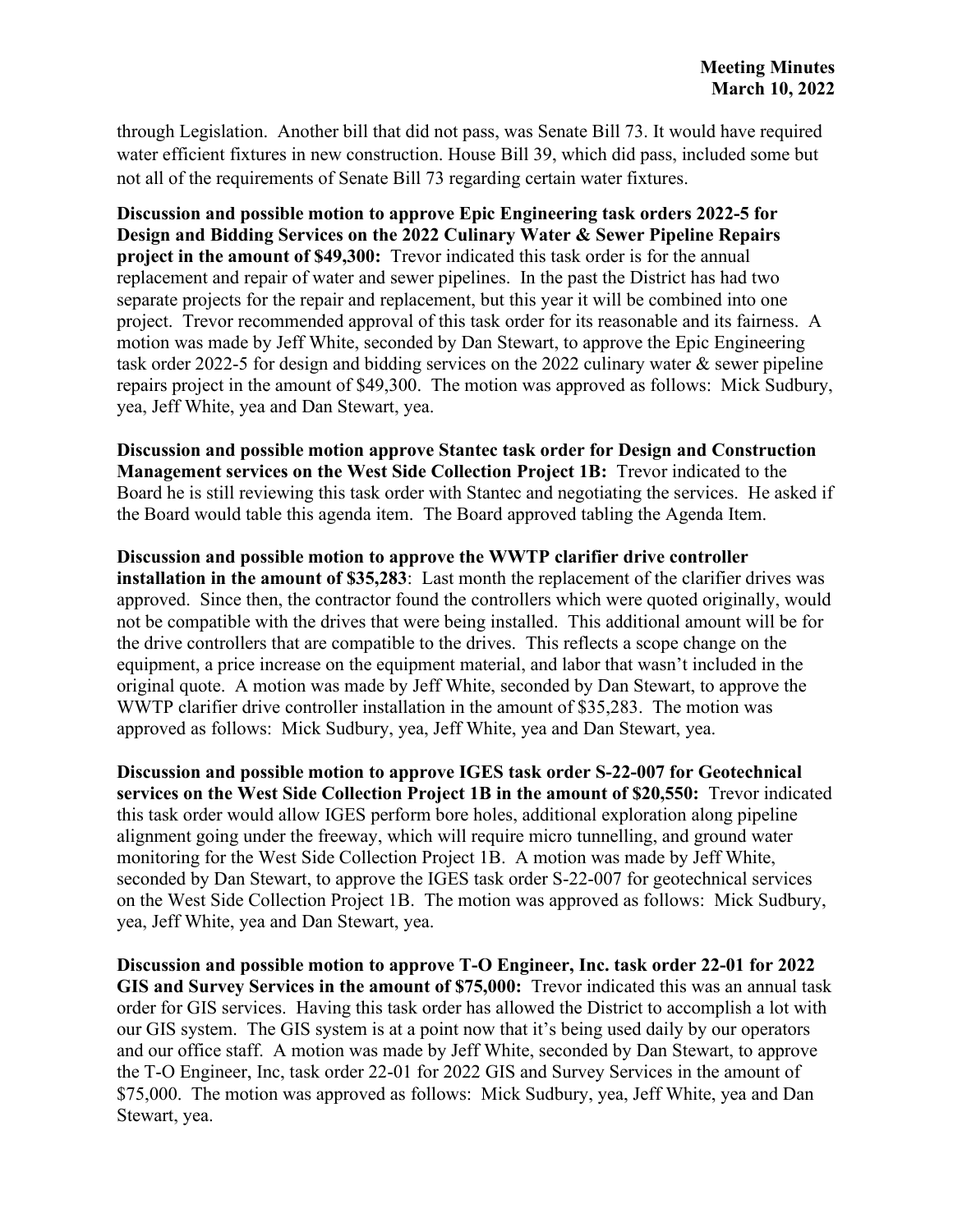through Legislation. Another bill that did not pass, was Senate Bill 73. It would have required water efficient fixtures in new construction. House Bill 39, which did pass, included some but not all of the requirements of Senate Bill 73 regarding certain water fixtures.

**Discussion and possible motion to approve Epic Engineering task orders 2022-5 for Design and Bidding Services on the 2022 Culinary Water & Sewer Pipeline Repairs project in the amount of \$49,300:** Trevor indicated this task order is for the annual replacement and repair of water and sewer pipelines. In the past the District has had two separate projects for the repair and replacement, but this year it will be combined into one project. Trevor recommended approval of this task order for its reasonable and its fairness. A motion was made by Jeff White, seconded by Dan Stewart, to approve the Epic Engineering task order 2022-5 for design and bidding services on the 2022 culinary water & sewer pipeline repairs project in the amount of \$49,300. The motion was approved as follows: Mick Sudbury, yea, Jeff White, yea and Dan Stewart, yea.

**Discussion and possible motion approve Stantec task order for Design and Construction Management services on the West Side Collection Project 1B:** Trevor indicated to the Board he is still reviewing this task order with Stantec and negotiating the services. He asked if the Board would table this agenda item. The Board approved tabling the Agenda Item.

**Discussion and possible motion to approve the WWTP clarifier drive controller installation in the amount of \$35,283**: Last month the replacement of the clarifier drives was approved. Since then, the contractor found the controllers which were quoted originally, would not be compatible with the drives that were being installed. This additional amount will be for the drive controllers that are compatible to the drives. This reflects a scope change on the equipment, a price increase on the equipment material, and labor that wasn't included in the original quote. A motion was made by Jeff White, seconded by Dan Stewart, to approve the WWTP clarifier drive controller installation in the amount of \$35,283. The motion was approved as follows: Mick Sudbury, yea, Jeff White, yea and Dan Stewart, yea.

**Discussion and possible motion to approve IGES task order S-22-007 for Geotechnical services on the West Side Collection Project 1B in the amount of \$20,550:** Trevor indicated this task order would allow IGES perform bore holes, additional exploration along pipeline alignment going under the freeway, which will require micro tunnelling, and ground water monitoring for the West Side Collection Project 1B. A motion was made by Jeff White, seconded by Dan Stewart, to approve the IGES task order S-22-007 for geotechnical services on the West Side Collection Project 1B. The motion was approved as follows: Mick Sudbury, yea, Jeff White, yea and Dan Stewart, yea.

**Discussion and possible motion to approve T-O Engineer, Inc. task order 22-01 for 2022 GIS and Survey Services in the amount of \$75,000:** Trevor indicated this was an annual task order for GIS services. Having this task order has allowed the District to accomplish a lot with our GIS system. The GIS system is at a point now that it's being used daily by our operators and our office staff. A motion was made by Jeff White, seconded by Dan Stewart, to approve the T-O Engineer, Inc, task order 22-01 for 2022 GIS and Survey Services in the amount of \$75,000. The motion was approved as follows: Mick Sudbury, yea, Jeff White, yea and Dan Stewart, yea.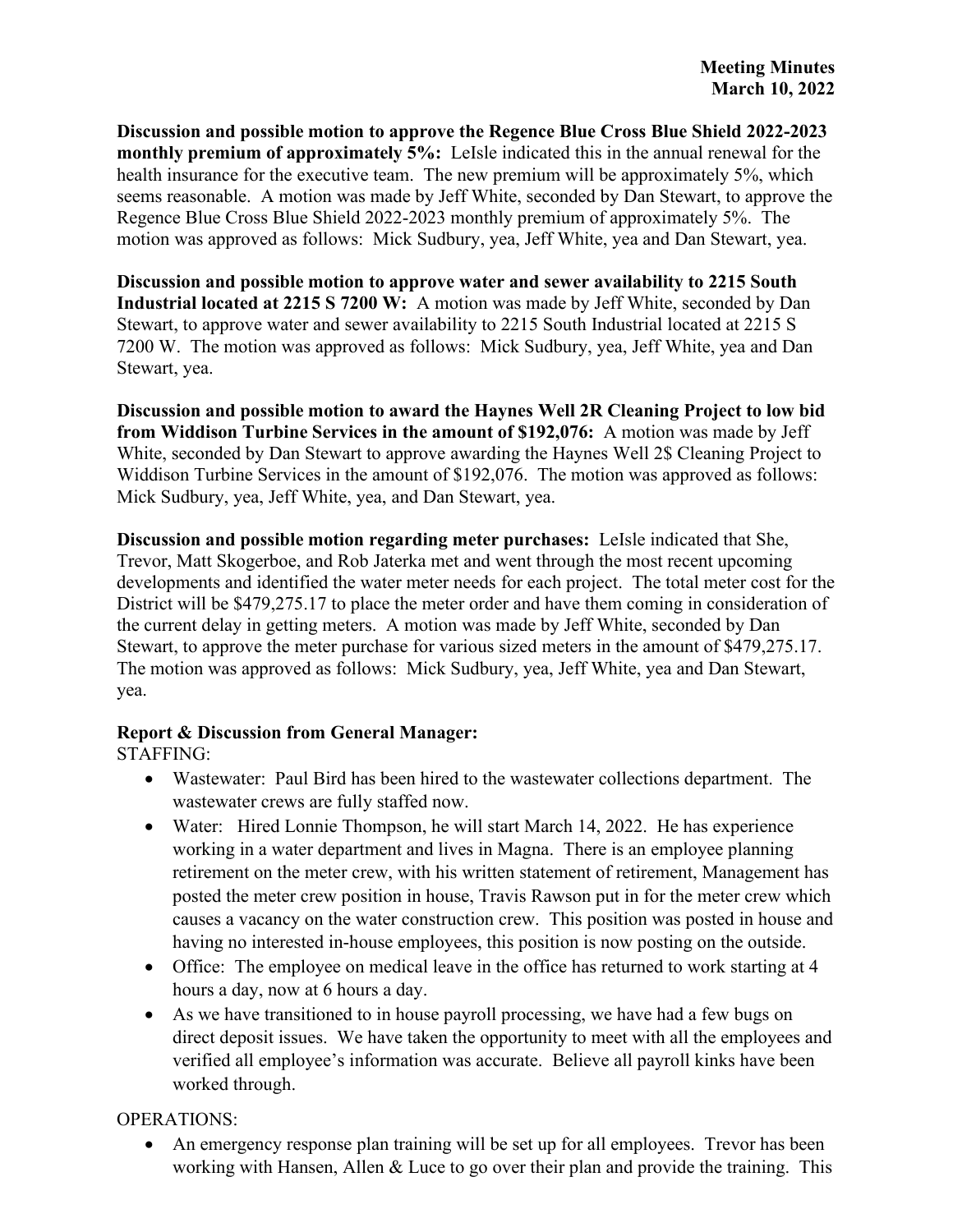**Discussion and possible motion to approve the Regence Blue Cross Blue Shield 2022-2023 monthly premium of approximately 5%:** LeIsle indicated this in the annual renewal for the health insurance for the executive team. The new premium will be approximately 5%, which seems reasonable. A motion was made by Jeff White, seconded by Dan Stewart, to approve the Regence Blue Cross Blue Shield 2022-2023 monthly premium of approximately 5%. The motion was approved as follows: Mick Sudbury, yea, Jeff White, yea and Dan Stewart, yea.

**Discussion and possible motion to approve water and sewer availability to 2215 South Industrial located at 2215 S 7200 W:** A motion was made by Jeff White, seconded by Dan Stewart, to approve water and sewer availability to 2215 South Industrial located at 2215 S 7200 W. The motion was approved as follows: Mick Sudbury, yea, Jeff White, yea and Dan Stewart, yea.

**Discussion and possible motion to award the Haynes Well 2R Cleaning Project to low bid from Widdison Turbine Services in the amount of \$192,076:** A motion was made by Jeff White, seconded by Dan Stewart to approve awarding the Haynes Well 2\$ Cleaning Project to Widdison Turbine Services in the amount of \$192,076. The motion was approved as follows: Mick Sudbury, yea, Jeff White, yea, and Dan Stewart, yea.

**Discussion and possible motion regarding meter purchases:** LeIsle indicated that She, Trevor, Matt Skogerboe, and Rob Jaterka met and went through the most recent upcoming developments and identified the water meter needs for each project. The total meter cost for the District will be \$479,275.17 to place the meter order and have them coming in consideration of the current delay in getting meters. A motion was made by Jeff White, seconded by Dan Stewart, to approve the meter purchase for various sized meters in the amount of \$479,275.17. The motion was approved as follows: Mick Sudbury, yea, Jeff White, yea and Dan Stewart, yea.

# **Report & Discussion from General Manager:**

STAFFING:

- Wastewater: Paul Bird has been hired to the wastewater collections department. The wastewater crews are fully staffed now.
- Water: Hired Lonnie Thompson, he will start March 14, 2022. He has experience working in a water department and lives in Magna. There is an employee planning retirement on the meter crew, with his written statement of retirement, Management has posted the meter crew position in house, Travis Rawson put in for the meter crew which causes a vacancy on the water construction crew. This position was posted in house and having no interested in-house employees, this position is now posting on the outside.
- Office: The employee on medical leave in the office has returned to work starting at 4 hours a day, now at 6 hours a day.
- As we have transitioned to in house payroll processing, we have had a few bugs on direct deposit issues. We have taken the opportunity to meet with all the employees and verified all employee's information was accurate. Believe all payroll kinks have been worked through.

OPERATIONS:

• An emergency response plan training will be set up for all employees. Trevor has been working with Hansen, Allen & Luce to go over their plan and provide the training. This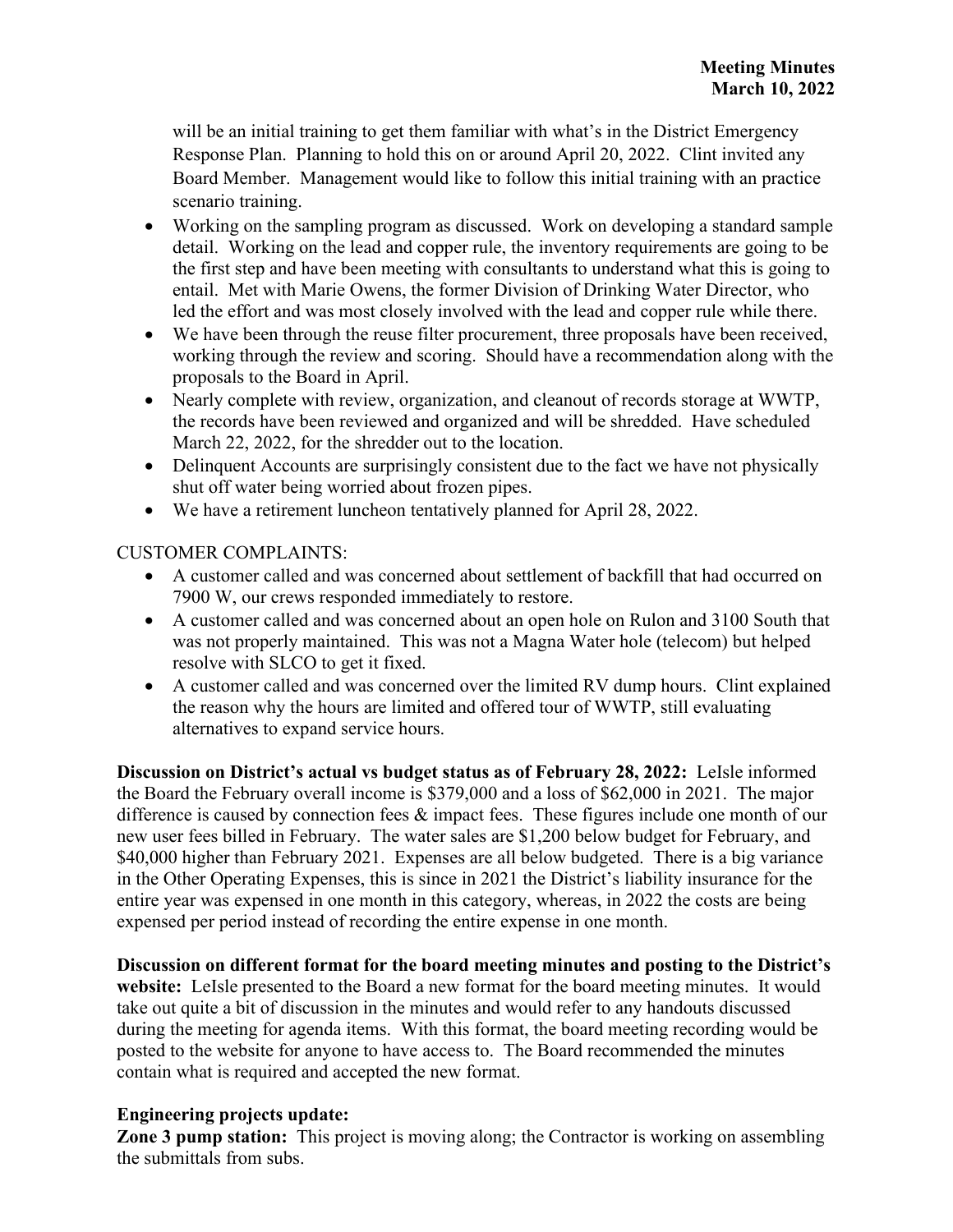will be an initial training to get them familiar with what's in the District Emergency Response Plan. Planning to hold this on or around April 20, 2022. Clint invited any Board Member. Management would like to follow this initial training with an practice scenario training.

- Working on the sampling program as discussed. Work on developing a standard sample detail. Working on the lead and copper rule, the inventory requirements are going to be the first step and have been meeting with consultants to understand what this is going to entail. Met with Marie Owens, the former Division of Drinking Water Director, who led the effort and was most closely involved with the lead and copper rule while there.
- We have been through the reuse filter procurement, three proposals have been received, working through the review and scoring. Should have a recommendation along with the proposals to the Board in April.
- Nearly complete with review, organization, and cleanout of records storage at WWTP, the records have been reviewed and organized and will be shredded. Have scheduled March 22, 2022, for the shredder out to the location.
- Delinquent Accounts are surprisingly consistent due to the fact we have not physically shut off water being worried about frozen pipes.
- We have a retirement luncheon tentatively planned for April 28, 2022.

# CUSTOMER COMPLAINTS:

- A customer called and was concerned about settlement of backfill that had occurred on 7900 W, our crews responded immediately to restore.
- A customer called and was concerned about an open hole on Rulon and 3100 South that was not properly maintained. This was not a Magna Water hole (telecom) but helped resolve with SLCO to get it fixed.
- A customer called and was concerned over the limited RV dump hours. Clint explained the reason why the hours are limited and offered tour of WWTP, still evaluating alternatives to expand service hours.

**Discussion on District's actual vs budget status as of February 28, 2022:** LeIsle informed the Board the February overall income is \$379,000 and a loss of \$62,000 in 2021. The major difference is caused by connection fees  $\&$  impact fees. These figures include one month of our new user fees billed in February. The water sales are \$1,200 below budget for February, and \$40,000 higher than February 2021. Expenses are all below budgeted. There is a big variance in the Other Operating Expenses, this is since in 2021 the District's liability insurance for the entire year was expensed in one month in this category, whereas, in 2022 the costs are being expensed per period instead of recording the entire expense in one month.

**Discussion on different format for the board meeting minutes and posting to the District's website:** LeIsle presented to the Board a new format for the board meeting minutes. It would take out quite a bit of discussion in the minutes and would refer to any handouts discussed during the meeting for agenda items. With this format, the board meeting recording would be posted to the website for anyone to have access to. The Board recommended the minutes contain what is required and accepted the new format.

# **Engineering projects update:**

**Zone 3 pump station:** This project is moving along; the Contractor is working on assembling the submittals from subs.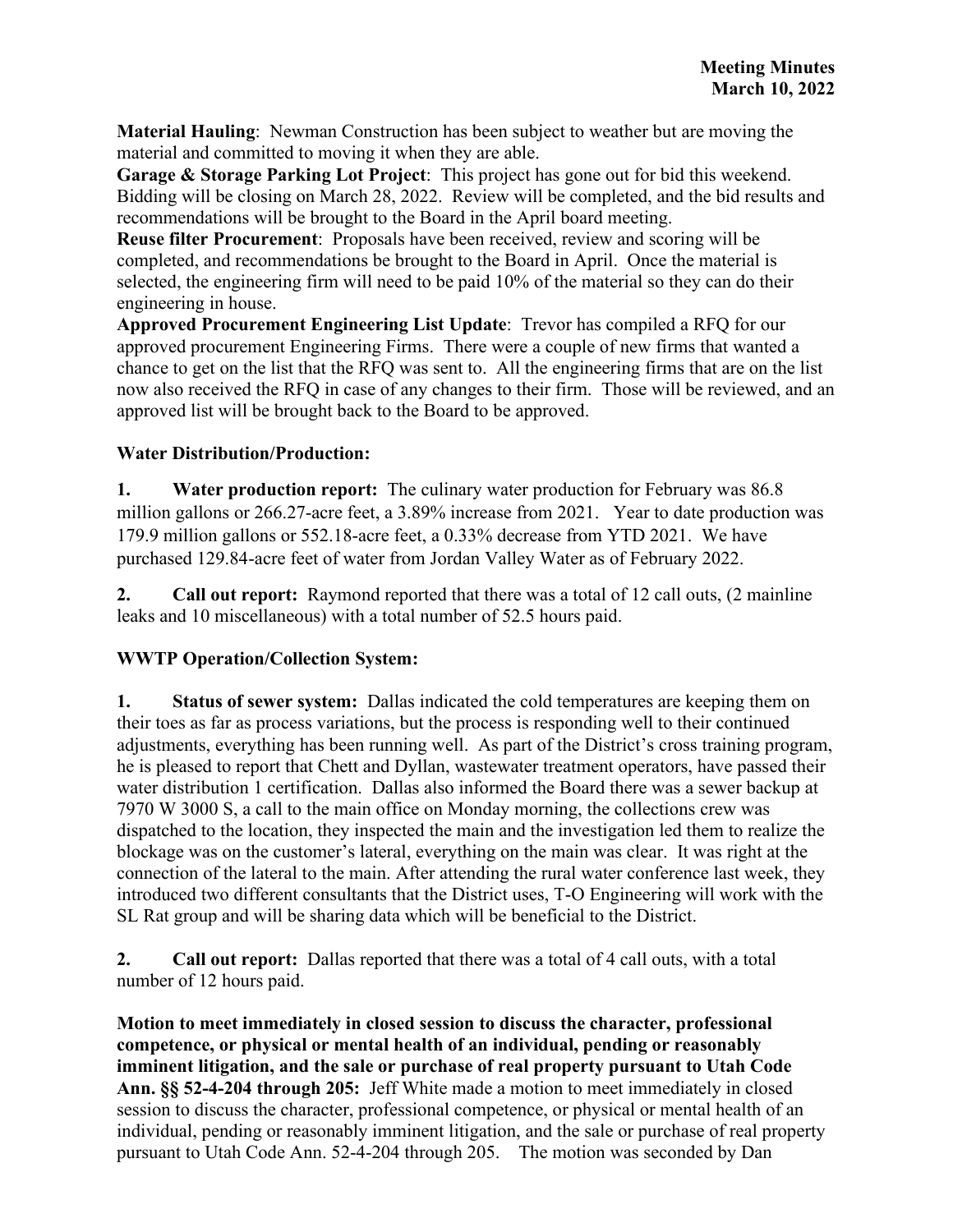**Material Hauling**: Newman Construction has been subject to weather but are moving the material and committed to moving it when they are able.

**Garage & Storage Parking Lot Project**: This project has gone out for bid this weekend. Bidding will be closing on March 28, 2022. Review will be completed, and the bid results and recommendations will be brought to the Board in the April board meeting.

**Reuse filter Procurement**: Proposals have been received, review and scoring will be completed, and recommendations be brought to the Board in April. Once the material is selected, the engineering firm will need to be paid 10% of the material so they can do their engineering in house.

**Approved Procurement Engineering List Update**: Trevor has compiled a RFQ for our approved procurement Engineering Firms. There were a couple of new firms that wanted a chance to get on the list that the RFQ was sent to. All the engineering firms that are on the list now also received the RFQ in case of any changes to their firm. Those will be reviewed, and an approved list will be brought back to the Board to be approved.

# **Water Distribution/Production:**

**1. Water production report:** The culinary water production for February was 86.8 million gallons or 266.27-acre feet, a 3.89% increase from 2021. Year to date production was 179.9 million gallons or 552.18-acre feet, a 0.33% decrease from YTD 2021. We have purchased 129.84-acre feet of water from Jordan Valley Water as of February 2022.

**2. Call out report:** Raymond reported that there was a total of 12 call outs, (2 mainline leaks and 10 miscellaneous) with a total number of 52.5 hours paid.

# **WWTP Operation/Collection System:**

**1. Status of sewer system:** Dallas indicated the cold temperatures are keeping them on their toes as far as process variations, but the process is responding well to their continued adjustments, everything has been running well. As part of the District's cross training program, he is pleased to report that Chett and Dyllan, wastewater treatment operators, have passed their water distribution 1 certification. Dallas also informed the Board there was a sewer backup at 7970 W 3000 S, a call to the main office on Monday morning, the collections crew was dispatched to the location, they inspected the main and the investigation led them to realize the blockage was on the customer's lateral, everything on the main was clear. It was right at the connection of the lateral to the main. After attending the rural water conference last week, they introduced two different consultants that the District uses, T-O Engineering will work with the SL Rat group and will be sharing data which will be beneficial to the District.

**2. Call out report:** Dallas reported that there was a total of 4 call outs, with a total number of 12 hours paid.

**Motion to meet immediately in closed session to discuss the character, professional competence, or physical or mental health of an individual, pending or reasonably imminent litigation, and the sale or purchase of real property pursuant to Utah Code Ann. §§ 52-4-204 through 205:** Jeff White made a motion to meet immediately in closed session to discuss the character, professional competence, or physical or mental health of an individual, pending or reasonably imminent litigation, and the sale or purchase of real property pursuant to Utah Code Ann. 52-4-204 through 205. The motion was seconded by Dan